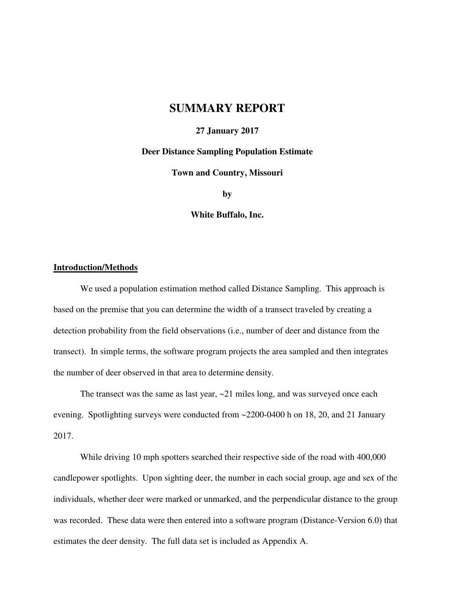## **SUMMARY REPORT**

### **27 January 2017**

#### **Deer Distance Sampling Population Estimate**

**Town and Country, Missouri** 

**by** 

**White Buffalo, Inc.** 

#### **Introduction/Methods**

We used a population estimation method called Distance Sampling. This approach is based on the premise that you can determine the width of a transect traveled by creating a detection probability from the field observations (i.e., number of deer and distance from the transect). In simple terms, the software program projects the area sampled and then integrates the number of deer observed in that area to determine density.

The transect was the same as last year,  $\sim$ 21 miles long, and was surveyed once each evening. Spotlighting surveys were conducted from ~2200-0400 h on 18, 20, and 21 January 2017.

While driving 10 mph spotters searched their respective side of the road with 400,000 candlepower spotlights. Upon sighting deer, the number in each social group, age and sex of the individuals, whether deer were marked or unmarked, and the perpendicular distance to the group was recorded. These data were then entered into a software program (Distance-Version 6.0) that estimates the deer density. The full data set is included as Appendix A.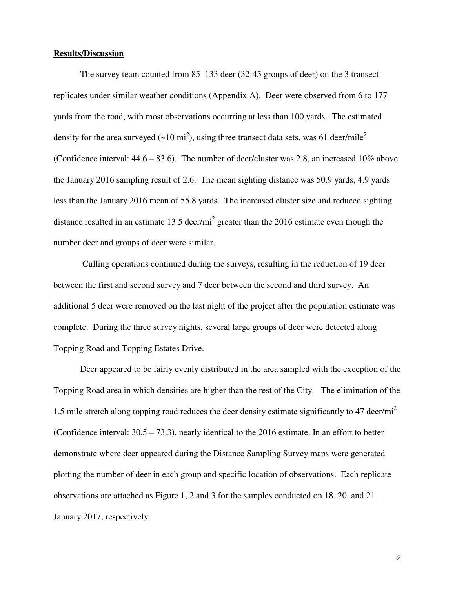### **Results/Discussion**

The survey team counted from 85–133 deer (32-45 groups of deer) on the 3 transect replicates under similar weather conditions (Appendix A). Deer were observed from 6 to 177 yards from the road, with most observations occurring at less than 100 yards. The estimated density for the area surveyed ( $\sim$ 10 mi<sup>2</sup>), using three transect data sets, was 61 deer/mile<sup>2</sup> (Confidence interval: 44.6 – 83.6). The number of deer/cluster was 2.8, an increased 10% above the January 2016 sampling result of 2.6. The mean sighting distance was 50.9 yards, 4.9 yards less than the January 2016 mean of 55.8 yards. The increased cluster size and reduced sighting distance resulted in an estimate 13.5 deer/mi<sup>2</sup> greater than the 2016 estimate even though the number deer and groups of deer were similar.

 Culling operations continued during the surveys, resulting in the reduction of 19 deer between the first and second survey and 7 deer between the second and third survey. An additional 5 deer were removed on the last night of the project after the population estimate was complete. During the three survey nights, several large groups of deer were detected along Topping Road and Topping Estates Drive.

Deer appeared to be fairly evenly distributed in the area sampled with the exception of the Topping Road area in which densities are higher than the rest of the City. The elimination of the 1.5 mile stretch along topping road reduces the deer density estimate significantly to 47 deer/mi<sup>2</sup> (Confidence interval: 30.5 – 73.3), nearly identical to the 2016 estimate. In an effort to better demonstrate where deer appeared during the Distance Sampling Survey maps were generated plotting the number of deer in each group and specific location of observations. Each replicate observations are attached as Figure 1, 2 and 3 for the samples conducted on 18, 20, and 21 January 2017, respectively.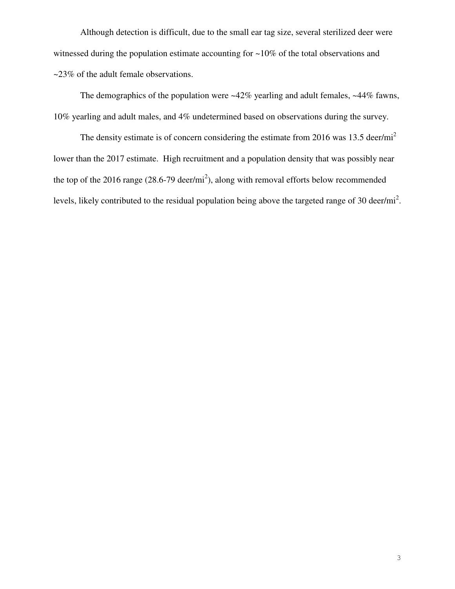Although detection is difficult, due to the small ear tag size, several sterilized deer were witnessed during the population estimate accounting for ~10% of the total observations and ~23% of the adult female observations.

The demographics of the population were  $\sim$ 42% yearling and adult females,  $\sim$ 44% fawns, 10% yearling and adult males, and 4% undetermined based on observations during the survey.

The density estimate is of concern considering the estimate from 2016 was 13.5 deer/mi<sup>2</sup> lower than the 2017 estimate. High recruitment and a population density that was possibly near the top of the 2016 range  $(28.6-79 \text{ deer/min}^2)$ , along with removal efforts below recommended levels, likely contributed to the residual population being above the targeted range of 30 deer/mi<sup>2</sup>.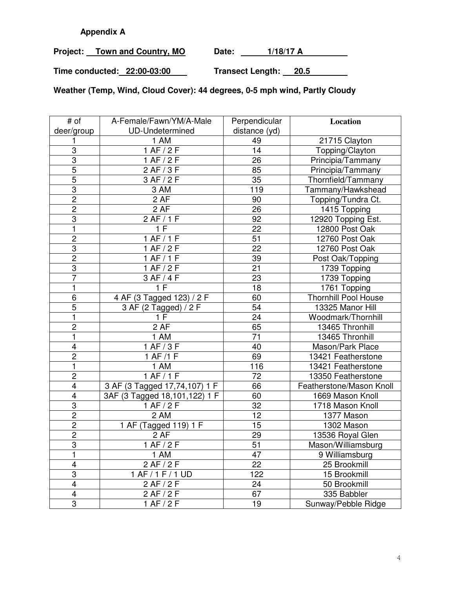## **Appendix A**

Project: Town and Country, MO Date: 1/18/17 A

**Time conducted: 22:00-03:00 Transect Length: 20.5** 

**Weather (Temp, Wind, Cloud Cover): 44 degrees, 0-5 mph wind, Partly Cloudy** 

| # of                    | A-Female/Fawn/YM/A-Male       | Perpendicular   | Location                    |
|-------------------------|-------------------------------|-----------------|-----------------------------|
| deer/group              | <b>UD-Undetermined</b>        | distance (yd)   |                             |
| 1                       | 1 AM                          | 49              | 21715 Clayton               |
| $\overline{3}$          | 1 AF/2F                       | 14              | Topping/Clayton             |
| $\overline{3}$          | 1 AF/2F                       | 26              | Principia/Tammany           |
| 5                       | 2 AF/3 F                      | 85              | Principia/Tammany           |
| $\overline{5}$          | 3 AF / 2 F                    | 35              | Thornfield/Tammany          |
| $\overline{3}$          | 3 AM                          | 119             | Tammany/Hawkshead           |
| $\overline{2}$          | 2 AF                          | 90              | Topping/Tundra Ct.          |
| $\overline{2}$          | 2 AF                          | 26              | 1415 Topping                |
| 3                       | 2 AF/1F                       | 92              | 12920 Topping Est.          |
| 1                       | 1 F                           | 22              | 12800 Post Oak              |
| $\overline{c}$          | 1 AF/1F                       | 51              | 12760 Post Oak              |
| $\overline{3}$          | 1 AF/2F                       | 22              | 12760 Post Oak              |
| $\overline{2}$          | 1 AF/1F                       | 39              | Post Oak/Topping            |
| 3                       | 1 AF/2F                       | 21              | 1739 Topping                |
| $\overline{7}$          | 3 AF / 4 F                    | 23              | 1739 Topping                |
| 1                       | 1F                            | 18              | 1761 Topping                |
| 6                       | 4 AF (3 Tagged 123) / 2 F     | 60              | <b>Thornhill Pool House</b> |
| $\overline{5}$          | 3 AF (2 Tagged) / 2 F         | 54              | 13325 Manor Hill            |
| $\mathbf{1}$            | 1F                            | 24              | Woodmark/Thornhill          |
| $\overline{2}$          | 2AF                           | 65              | 13465 Thronhill             |
| 1                       | 1 AM                          | 71              | 13465 Thronhill             |
| $\overline{\mathbf{4}}$ | 1 AF/3F                       | 40              | Mason/Park Place            |
| $\overline{2}$          | 1 AF /1 F                     | 69              | 13421 Featherstone          |
| 1                       | 1 AM                          | 116             | 13421 Featherstone          |
| $\overline{2}$          | 1 AF/1F                       | 72              | 13350 Featherstone          |
| $\overline{4}$          | 3 AF (3 Tagged 17,74,107) 1 F | 66              | Featherstone/Mason Knoll    |
| $\overline{4}$          | 3AF (3 Tagged 18,101,122) 1 F | 60              | 1669 Mason Knoll            |
| 3                       | 1 AF/2F                       | 32              | 1718 Mason Knoll            |
| $\overline{c}$          | 2 AM                          | 12              | 1377 Mason                  |
| $\overline{c}$          | 1 AF (Tagged 119) 1 F         | 15              | 1302 Mason                  |
| $\overline{2}$          | 2 AF                          | 29              | 13536 Royal Glen            |
| $\overline{3}$          | 1 AF/2F                       | $\overline{51}$ | Mason/Williamsburg          |
| 1                       | 1 AM                          | 47              | 9 Williamsburg              |
| $\overline{\mathbf{4}}$ | 2 AF/2F                       | 22              | 25 Brookmill                |
| $\overline{3}$          | 1 AF / 1 F / 1 UD             | 122             | 15 Brookmill                |
| $\overline{\mathbf{4}}$ | 2 AF / 2 F                    | 24              | 50 Brookmill                |
| $\overline{\mathbf{4}}$ | 2 AF/2F                       | 67              | 335 Babbler                 |
| 3                       | 1 AF/2F                       | 19              | Sunway/Pebble Ridge         |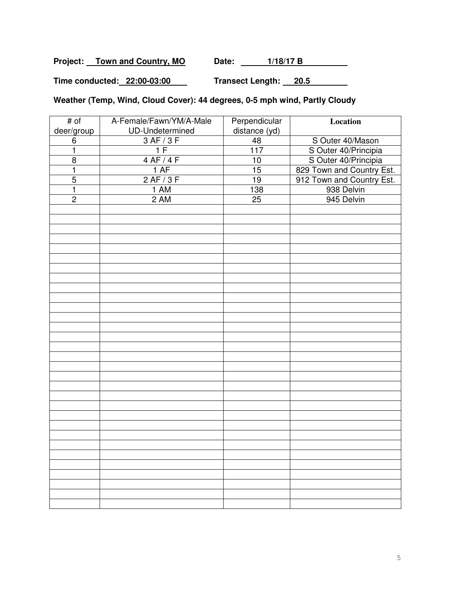Project: Town and Country, MO Date: 1/18/17 B

**Time conducted: 22:00-03:00 Transect Length: 20.5** 

**Weather (Temp, Wind, Cloud Cover): 44 degrees, 0-5 mph wind, Partly Cloudy** 

| # of           | A-Female/Fawn/YM/A-Male | Perpendicular    | Location                  |
|----------------|-------------------------|------------------|---------------------------|
| deer/group     | UD-Undetermined         | distance (yd)    |                           |
| 6              | 3 AF/3F                 | 48               | S Outer 40/Mason          |
| $\mathbf{1}$   | 1F                      | $\overline{117}$ | S Outer 40/Principia      |
| $\overline{8}$ | 4 AF/4F                 | 10               | S Outer 40/Principia      |
| $\mathbf{1}$   | 1 AF                    | 15               | 829 Town and Country Est. |
| $\overline{5}$ | 2 AF/3 F                | 19               | 912 Town and Country Est. |
| $\mathbf{1}$   | 1 AM                    | 138              | 938 Delvin                |
| $\overline{2}$ | 2AM                     | $\overline{25}$  | 945 Delvin                |
|                |                         |                  |                           |
|                |                         |                  |                           |
|                |                         |                  |                           |
|                |                         |                  |                           |
|                |                         |                  |                           |
|                |                         |                  |                           |
|                |                         |                  |                           |
|                |                         |                  |                           |
|                |                         |                  |                           |
|                |                         |                  |                           |
|                |                         |                  |                           |
|                |                         |                  |                           |
|                |                         |                  |                           |
|                |                         |                  |                           |
|                |                         |                  |                           |
|                |                         |                  |                           |
|                |                         |                  |                           |
|                |                         |                  |                           |
|                |                         |                  |                           |
|                |                         |                  |                           |
|                |                         |                  |                           |
|                |                         |                  |                           |
|                |                         |                  |                           |
|                |                         |                  |                           |
|                |                         |                  |                           |
|                |                         |                  |                           |
|                |                         |                  |                           |
|                |                         |                  |                           |
|                |                         |                  |                           |
|                |                         |                  |                           |
|                |                         |                  |                           |
|                |                         |                  |                           |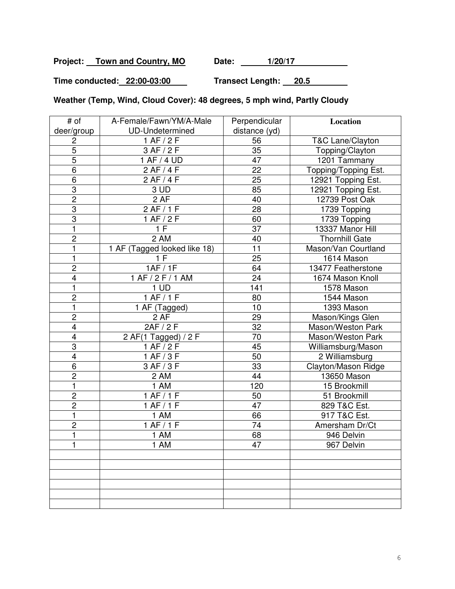Project: Town and Country, MO Date: 1/20/17

**Time conducted: 22:00-03:00 Transect Length: 20.5** 

**Weather (Temp, Wind, Cloud Cover): 48 degrees, 5 mph wind, Partly Cloudy** 

| # of                    | A-Female/Fawn/YM/A-Male      | Perpendicular   | Location             |
|-------------------------|------------------------------|-----------------|----------------------|
| deer/group              | UD-Undetermined              | distance (yd)   |                      |
| 2                       | 1 AF/2F                      | 56              | T&C Lane/Clayton     |
| $\overline{5}$          | 3 AF / 2 F                   | 35              | Topping/Clayton      |
| $\overline{5}$          | 1 AF / 4 UD                  | $\overline{47}$ | 1201 Tammany         |
| 6                       | 2 AF/4F                      | 22              | Topping/Topping Est. |
| 6                       | 2 AF/4F                      | 25              | 12921 Topping Est.   |
| 3                       | 3 UD                         | 85              | 12921 Topping Est.   |
| $\overline{2}$          | $\overline{2}$ AF            | 40              | 12739 Post Oak       |
| $\overline{3}$          | 2 AF/1F                      | 28              | 1739 Topping         |
| 3                       | 1 AF/2F                      | 60              | 1739 Topping         |
| 1                       | 1 F                          | 37              | 13337 Manor Hill     |
| $\overline{2}$          | 2 AM                         | 40              | Thornhill Gate       |
| 1                       | 1 AF (Tagged looked like 18) | 11              | Mason/Van Courtland  |
| $\mathbf{1}$            | 1F                           | 25              | 1614 Mason           |
| $\overline{c}$          | 1AF / 1F                     | 64              | 13477 Featherstone   |
| 4                       | 1 AF / 2 F / 1 AM            | 24              | 1674 Mason Knoll     |
| 1                       | 1 UD                         | 141             | 1578 Mason           |
| $\overline{c}$          | 1 AF/1F                      | 80              | 1544 Mason           |
| 1                       | 1 AF (Tagged)                | 10              | 1393 Mason           |
| $\overline{c}$          | 2 AF                         | 29              | Mason/Kings Glen     |
| 4                       | 2AF / 2 F                    | 32              | Mason/Weston Park    |
| $\overline{\mathbf{4}}$ | 2 AF(1 Tagged) / 2 F         | 70              | Mason/Weston Park    |
| $\overline{3}$          | 1 AF/2F                      | 45              | Williamsburg/Mason   |
| $\overline{\mathbf{4}}$ | 1 AF/3 F                     | 50              | 2 Williamsburg       |
| 6                       | 3 AF/3 F                     | 33              | Clayton/Mason Ridge  |
| $\overline{c}$          | 2 AM                         | 44              | 13650 Mason          |
| 1                       | 1 AM                         | 120             | 15 Brookmill         |
| $\overline{c}$          | 1 AF/1F                      | 50              | 51 Brookmill         |
| $\overline{2}$          | 1 AF/1F                      | $\overline{47}$ | 829 T&C Est.         |
| 1                       | 1 AM                         | 66              | 917 T&C Est.         |
| $\overline{c}$          | 1 AF/1F                      | 74              | Amersham Dr/Ct       |
| 1                       | 1 AM                         | 68              | 946 Delvin           |
| 1                       | 1 AM                         | 47              | 967 Delvin           |
|                         |                              |                 |                      |
|                         |                              |                 |                      |
|                         |                              |                 |                      |
|                         |                              |                 |                      |
|                         |                              |                 |                      |
|                         |                              |                 |                      |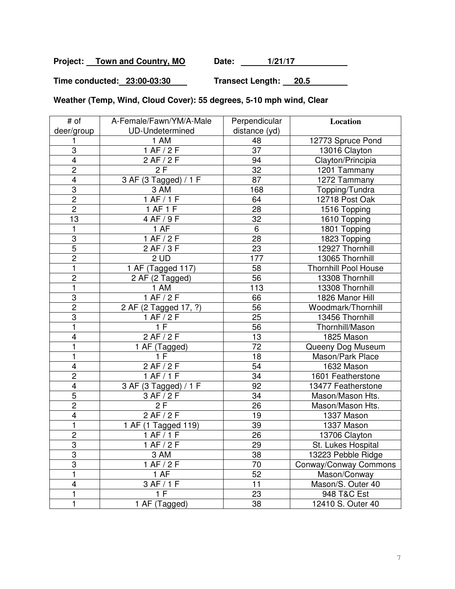Project: Town and Country, MO Date: 1/21/17

**Time conducted: 23:00-03:30 Transect Length: 20.5** 

**Weather (Temp, Wind, Cloud Cover): 55 degrees, 5-10 mph wind, Clear** 

| # of                    | A-Female/Fawn/YM/A-Male | Perpendicular   | Location                    |
|-------------------------|-------------------------|-----------------|-----------------------------|
| deer/group              | <b>UD-Undetermined</b>  | distance (yd)   |                             |
|                         | 1 AM                    | 48              | 12773 Spruce Pond           |
| 3                       | $1$ AF $/2$ F           | $\overline{37}$ | 13016 Clayton               |
| $\overline{4}$          | $\overline{2}$ AF / 2 F | 94              | Clayton/Principia           |
| $\overline{c}$          | 2F                      | 32              | 1201 Tammany                |
| $\overline{\mathbf{4}}$ | 3 AF (3 Tagged) / 1 F   | 87              | 1272 Tammany                |
| 3                       | 3 AM                    | 168             | Topping/Tundra              |
| $\overline{2}$          | 1 AF/1F                 | 64              | 12718 Post Oak              |
| $\overline{2}$          | 1 AF 1 F                | 28              | 1516 Topping                |
| 13                      | 4 AF / 9 F              | 32              | 1610 Topping                |
|                         | 1 AF                    | $\overline{6}$  | 1801 Topping                |
| 3                       | 1 AF/2F                 | 28              | 1823 Topping                |
| $\overline{5}$          | 2 AF/3F                 | $\overline{23}$ | 12927 Thornhill             |
| $\overline{2}$          | 2UD                     | 177             | 13065 Thornhill             |
| 1                       | 1 AF (Tagged 117)       | 58              | <b>Thornhill Pool House</b> |
| $\overline{2}$          | 2 AF (2 Tagged)         | 56              | 13308 Thornhill             |
| $\mathbf{1}$            | 1 AM                    | 113             | 13308 Thornhill             |
| $\overline{3}$          | 1 AF/2F                 | 66              | 1826 Manor Hill             |
| $\overline{2}$          | 2 AF (2 Tagged 17, ?)   | 56              | Woodmark/Thornhill          |
| 3                       | 1 AF/2F                 | 25              | 13456 Thornhill             |
| 1                       | 1 F                     | 56              | Thornhill/Mason             |
| $\overline{\mathbf{4}}$ | 2AF/2F                  | 13              | 1825 Mason                  |
| 1                       | 1 AF (Tagged)           | $\overline{72}$ | Queeny Dog Museum           |
| 1                       | 1 F                     | 18              | Mason/Park Place            |
| 4                       | 2 AF/2F                 | 54              | 1632 Mason                  |
| $\overline{2}$          | 1 AF/1F                 | $\overline{34}$ | 1601 Featherstone           |
| 4                       | 3 AF (3 Tagged) / 1 F   | 92              | 13477 Featherstone          |
| $\overline{5}$          | 3 AF / 2 F              | 34              | Mason/Mason Hts.            |
| $\overline{2}$          | 2F                      | 26              | Mason/Mason Hts.            |
| $\overline{\mathbf{4}}$ | 2 AF/2F                 | 19              | 1337 Mason                  |
| $\mathbf{1}$            | 1 AF (1 Tagged 119)     | 39              | 1337 Mason                  |
| $\overline{c}$          | 1 AF/1F                 | 26              | 13706 Clayton               |
| $\overline{3}$          | 1 AF/2F                 | 29              | St. Lukes Hospital          |
| 3                       | 3 AM                    | 38              | 13223 Pebble Ridge          |
| 3                       | 1 AF/2F                 | 70              | Conway/Conway Commons       |
| 1                       | 1 AF                    | 52              | Mason/Conway                |
| $\overline{\mathbf{4}}$ | 3 AF/1F                 | 11              | Mason/S. Outer 40           |
| 1                       | 1F                      | 23              | 948 T&C Est                 |
| 1                       | 1 AF (Tagged)           | 38              | 12410 S. Outer 40           |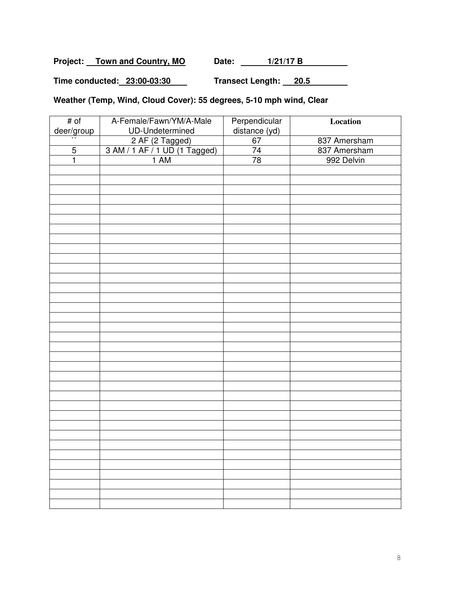Project: Town and Country, MO Date: 1/21/17 B

**Time conducted: 23:00-03:30 Transect Length: 20.5** 

# **Weather (Temp, Wind, Cloud Cover): 55 degrees, 5-10 mph wind, Clear**

| # of           | A-Female/Fawn/YM/A-Male                                  | Perpendicular<br>distance (yd) | Location     |
|----------------|----------------------------------------------------------|--------------------------------|--------------|
| deer/group     | UD-Undetermined                                          |                                |              |
|                | 2 AF (2 Tagged)<br>3 AM / 1 AF / 1 UD (1 Tagged)<br>1 AM | 67                             | 837 Amersham |
| $\overline{5}$ |                                                          | 74                             | 837 Amersham |
| $\mathbf{1}$   |                                                          | 78                             | 992 Delvin   |
|                |                                                          |                                |              |
|                |                                                          |                                |              |
|                |                                                          |                                |              |
|                |                                                          |                                |              |
|                |                                                          |                                |              |
|                |                                                          |                                |              |
|                |                                                          |                                |              |
|                |                                                          |                                |              |
|                |                                                          |                                |              |
|                |                                                          |                                |              |
|                |                                                          |                                |              |
|                |                                                          |                                |              |
|                |                                                          |                                |              |
|                |                                                          |                                |              |
|                |                                                          |                                |              |
|                |                                                          |                                |              |
|                |                                                          |                                |              |
|                |                                                          |                                |              |
|                |                                                          |                                |              |
|                |                                                          |                                |              |
|                |                                                          |                                |              |
|                |                                                          |                                |              |
|                |                                                          |                                |              |
|                |                                                          |                                |              |
|                |                                                          |                                |              |
|                |                                                          |                                |              |
|                |                                                          |                                |              |
|                |                                                          |                                |              |
|                |                                                          |                                |              |
|                |                                                          |                                |              |
|                |                                                          |                                |              |
|                |                                                          |                                |              |
|                |                                                          |                                |              |
|                |                                                          |                                |              |
|                |                                                          |                                |              |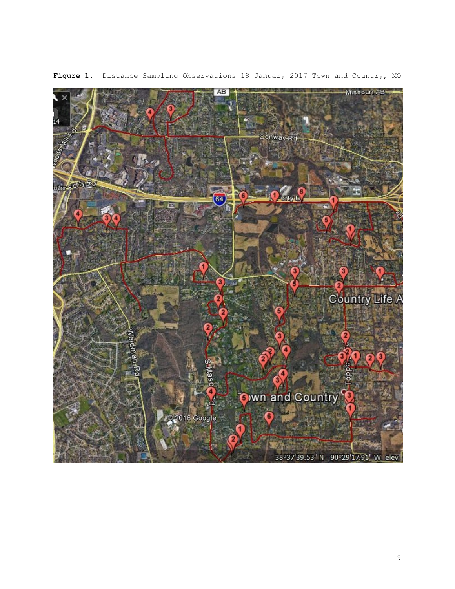

**Figure 1**. Distance Sampling Observations 18 January 2017 Town and Country, MO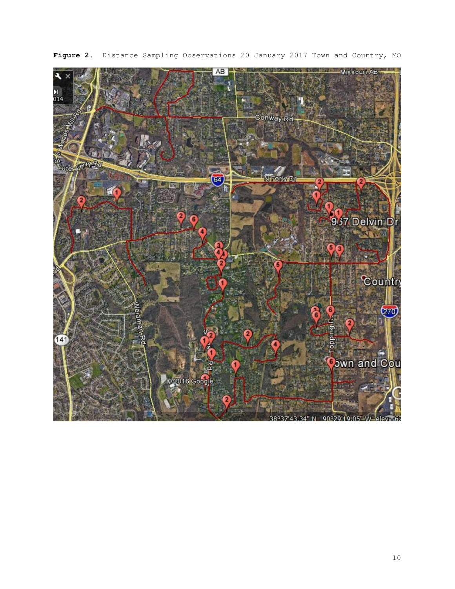

**Figure 2**. Distance Sampling Observations 20 January 2017 Town and Country, MO